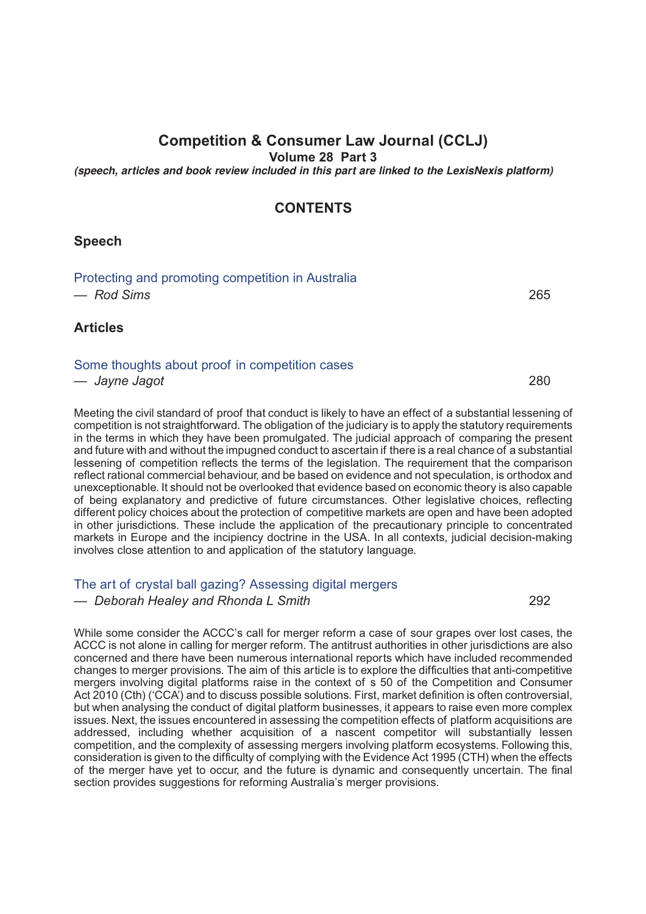# **Competition & Consumer Law Journal (CCLJ)**

**Volume 28 Part 3**

*(speech, articles and book review included in this part are linked to the LexisNexis platform)*

### **CONTENTS**

### **Speech**

| Protecting and promoting competition in Australia |     |
|---------------------------------------------------|-----|
| — Rod Sims                                        | 265 |

### **Articles**

#### [Some thoughts about proof in competition cases](http://advance.lexis.com/api/document?idtype=DOC-ID&id=005O-28CCLJ280)

*— Jayne Jagot* 280

Meeting the civil standard of proof that conduct is likely to have an effect of a substantial lessening of competition is not straightforward. The obligation of the judiciary is to apply the statutory requirements in the terms in which they have been promulgated. The judicial approach of comparing the present and future with and without the impugned conduct to ascertain if there is a real chance of a substantial lessening of competition reflects the terms of the legislation. The requirement that the comparison reflect rational commercial behaviour, and be based on evidence and not speculation, is orthodox and unexceptionable. It should not be overlooked that evidence based on economic theory is also capable of being explanatory and predictive of future circumstances. Other legislative choices, reflecting different policy choices about the protection of competitive markets are open and have been adopted in other jurisdictions. These include the application of the precautionary principle to concentrated markets in Europe and the incipiency doctrine in the USA. In all contexts, judicial decision-making involves close attention to and application of the statutory language.

#### The art of crystal ball gazing? [Assessing](http://advance.lexis.com/api/document?idtype=DOC-ID&id=005O-28CCLJ292) digital mergers

*— Deborah Healey and Rhonda L Smith* 292

While some consider the ACCC's call for merger reform a case of sour grapes over lost cases, the ACCC is not alone in calling for merger reform. The antitrust authorities in other jurisdictions are also concerned and there have been numerous international reports which have included recommended changes to merger provisions. The aim of this article is to explore the difficulties that anti-competitive mergers involving digital platforms raise in the context of s 50 of the Competition and Consumer Act 2010 (Cth) ('CCA') and to discuss possible solutions. First, market definition is often controversial, but when analysing the conduct of digital platform businesses, it appears to raise even more complex issues. Next, the issues encountered in assessing the competition effects of platform acquisitions are addressed, including whether acquisition of a nascent competitor will substantially lessen competition, and the complexity of assessing mergers involving platform ecosystems. Following this, consideration is given to the difficulty of complying with the Evidence Act 1995 (CTH) when the effects of the merger have yet to occur, and the future is dynamic and consequently uncertain. The final section provides suggestions for reforming Australia's merger provisions.